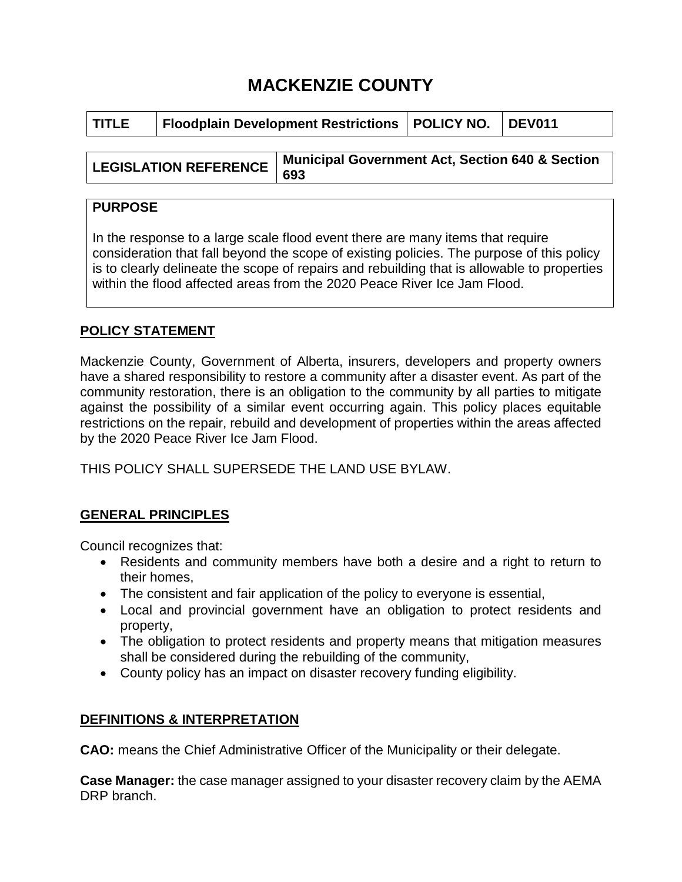# **MACKENZIE COUNTY**

| l TITLE.                     | <b>Floodplain Development Restrictions   POLICY NO.</b> |                                                            |  | <b>DEV011</b> |
|------------------------------|---------------------------------------------------------|------------------------------------------------------------|--|---------------|
|                              |                                                         |                                                            |  |               |
| <b>LEGISLATION REFERENCE</b> |                                                         | <b>Municipal Government Act, Section 640 &amp; Section</b> |  |               |
|                              |                                                         | 693                                                        |  |               |

## **PURPOSE**

In the response to a large scale flood event there are many items that require consideration that fall beyond the scope of existing policies. The purpose of this policy is to clearly delineate the scope of repairs and rebuilding that is allowable to properties within the flood affected areas from the 2020 Peace River Ice Jam Flood.

# **POLICY STATEMENT**

Mackenzie County, Government of Alberta, insurers, developers and property owners have a shared responsibility to restore a community after a disaster event. As part of the community restoration, there is an obligation to the community by all parties to mitigate against the possibility of a similar event occurring again. This policy places equitable restrictions on the repair, rebuild and development of properties within the areas affected by the 2020 Peace River Ice Jam Flood.

THIS POLICY SHALL SUPERSEDE THE LAND USE BYLAW.

## **GENERAL PRINCIPLES**

Council recognizes that:

- Residents and community members have both a desire and a right to return to their homes,
- The consistent and fair application of the policy to everyone is essential,
- Local and provincial government have an obligation to protect residents and property,
- The obligation to protect residents and property means that mitigation measures shall be considered during the rebuilding of the community,
- County policy has an impact on disaster recovery funding eligibility.

## **DEFINITIONS & INTERPRETATION**

**CAO:** means the Chief Administrative Officer of the Municipality or their delegate.

**Case Manager:** the case manager assigned to your disaster recovery claim by the AEMA DRP branch.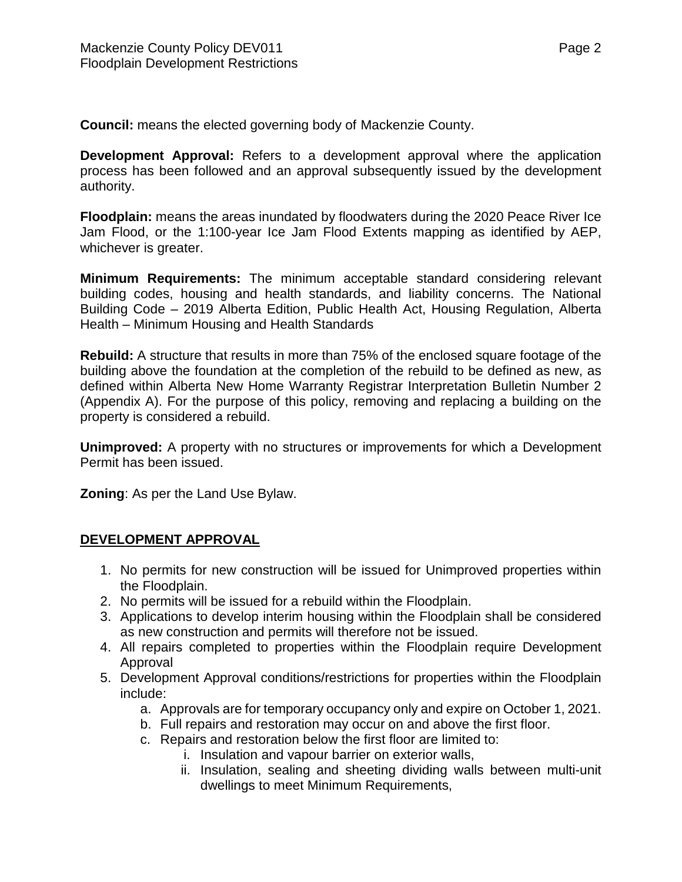**Council:** means the elected governing body of Mackenzie County.

**Development Approval:** Refers to a development approval where the application process has been followed and an approval subsequently issued by the development authority.

**Floodplain:** means the areas inundated by floodwaters during the 2020 Peace River Ice Jam Flood, or the 1:100-year Ice Jam Flood Extents mapping as identified by AEP, whichever is greater.

**Minimum Requirements:** The minimum acceptable standard considering relevant building codes, housing and health standards, and liability concerns. The National Building Code – 2019 Alberta Edition, Public Health Act, Housing Regulation, Alberta Health – Minimum Housing and Health Standards

**Rebuild:** A structure that results in more than 75% of the enclosed square footage of the building above the foundation at the completion of the rebuild to be defined as new, as defined within Alberta New Home Warranty Registrar Interpretation Bulletin Number 2 (Appendix A). For the purpose of this policy, removing and replacing a building on the property is considered a rebuild.

**Unimproved:** A property with no structures or improvements for which a Development Permit has been issued.

**Zoning**: As per the Land Use Bylaw.

#### **DEVELOPMENT APPROVAL**

- 1. No permits for new construction will be issued for Unimproved properties within the Floodplain.
- 2. No permits will be issued for a rebuild within the Floodplain.
- 3. Applications to develop interim housing within the Floodplain shall be considered as new construction and permits will therefore not be issued.
- 4. All repairs completed to properties within the Floodplain require Development Approval
- 5. Development Approval conditions/restrictions for properties within the Floodplain include:
	- a. Approvals are for temporary occupancy only and expire on October 1, 2021.
	- b. Full repairs and restoration may occur on and above the first floor.
	- c. Repairs and restoration below the first floor are limited to:
		- i. Insulation and vapour barrier on exterior walls,
		- ii. Insulation, sealing and sheeting dividing walls between multi-unit dwellings to meet Minimum Requirements,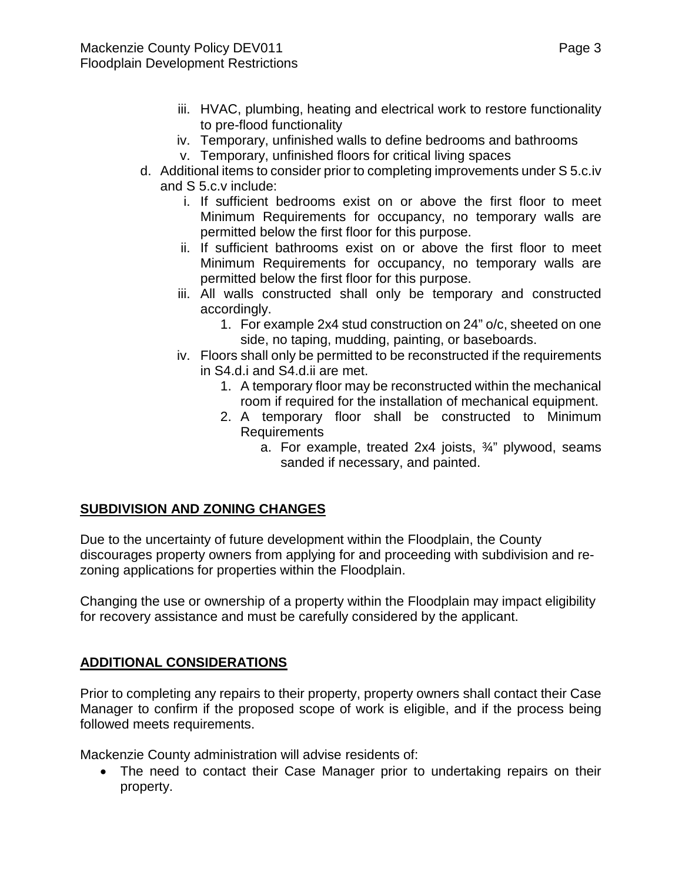- iii. HVAC, plumbing, heating and electrical work to restore functionality to pre-flood functionality
- iv. Temporary, unfinished walls to define bedrooms and bathrooms
- v. Temporary, unfinished floors for critical living spaces
- d. Additional items to consider prior to completing improvements under S 5.c.iv and S 5.c.v include:
	- i. If sufficient bedrooms exist on or above the first floor to meet Minimum Requirements for occupancy, no temporary walls are permitted below the first floor for this purpose.
	- ii. If sufficient bathrooms exist on or above the first floor to meet Minimum Requirements for occupancy, no temporary walls are permitted below the first floor for this purpose.
	- iii. All walls constructed shall only be temporary and constructed accordingly.
		- 1. For example 2x4 stud construction on 24" o/c, sheeted on one side, no taping, mudding, painting, or baseboards.
	- iv. Floors shall only be permitted to be reconstructed if the requirements in S4.d.i and S4.d.ii are met.
		- 1. A temporary floor may be reconstructed within the mechanical room if required for the installation of mechanical equipment.
		- 2. A temporary floor shall be constructed to Minimum Requirements
			- a. For example, treated 2x4 joists, ¾" plywood, seams sanded if necessary, and painted.

## **SUBDIVISION AND ZONING CHANGES**

Due to the uncertainty of future development within the Floodplain, the County discourages property owners from applying for and proceeding with subdivision and rezoning applications for properties within the Floodplain.

Changing the use or ownership of a property within the Floodplain may impact eligibility for recovery assistance and must be carefully considered by the applicant.

#### **ADDITIONAL CONSIDERATIONS**

Prior to completing any repairs to their property, property owners shall contact their Case Manager to confirm if the proposed scope of work is eligible, and if the process being followed meets requirements.

Mackenzie County administration will advise residents of:

• The need to contact their Case Manager prior to undertaking repairs on their property.